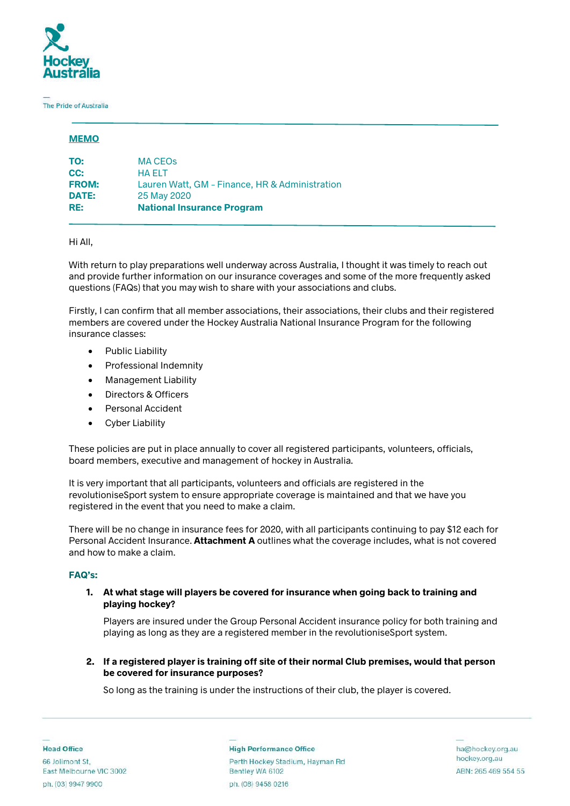

## **MEMO**

| RE:          | <b>National Insurance Program</b>              |
|--------------|------------------------------------------------|
| <b>DATE:</b> | 25 May 2020                                    |
| <b>FROM:</b> | Lauren Watt, GM - Finance, HR & Administration |
| CC:          | <b>HA FLT</b>                                  |
| TO:          | <b>MA CEOS</b>                                 |
|              |                                                |

Hi All,

With return to play preparations well underway across Australia, I thought it was timely to reach out and provide further information on our insurance coverages and some of the more frequently asked questions (FAQs) that you may wish to share with your associations and clubs.

Firstly, I can confirm that all member associations, their associations, their clubs and their registered members are covered under the Hockey Australia National Insurance Program for the following insurance classes:

- Public Liability
- Professional Indemnity
- Management Liability
- Directors & Officers
- Personal Accident
- Cyber Liability

These policies are put in place annually to cover all registered participants, volunteers, officials, board members, executive and management of hockey in Australia.

It is very important that all participants, volunteers and officials are registered in the revolutioniseSport system to ensure appropriate coverage is maintained and that we have you registered in the event that you need to make a claim.

There will be no change in insurance fees for 2020, with all participants continuing to pay \$12 each for Personal Accident Insurance. **Attachment A** outlines what the coverage includes, what is not covered and how to make a claim.

### **FAQ's:**

### **1. At what stage will players be covered for insurance when going back to training and playing hockey?**

Players are insured under the Group Personal Accident insurance policy for both training and playing as long as they are a registered member in the revolutioniseSport system.

**2. If a registered player is training off site of their normal Club premises, would that person be covered for insurance purposes?** 

So long as the training is under the instructions of their club, the player is covered.

66 Jolimont St. East Melbourne VIC 3002 ph. (03) 9947 9900

**High Performance Office** Perth Hockey Stadium, Hayman Rd Bentley WA 6102 ph. (08) 9458 0216

ha@hockey.org.au hockey.org.au ABN: 265 469 554 55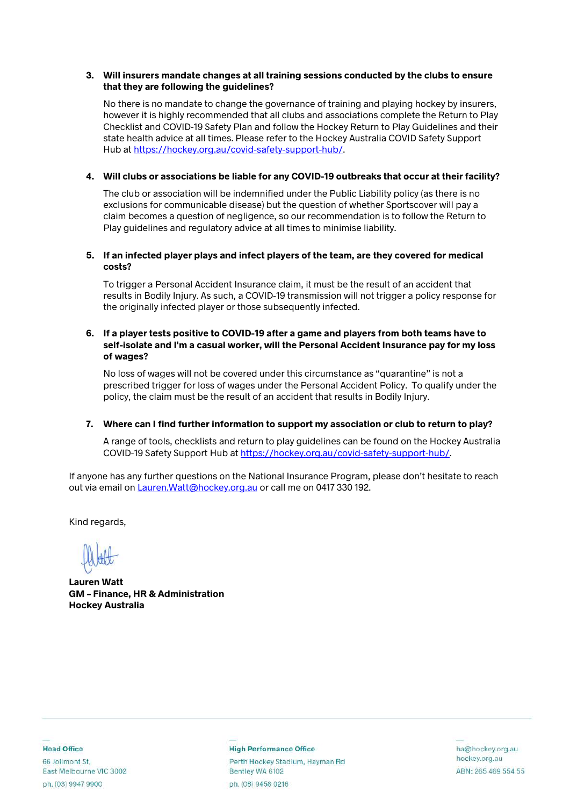## **3. Will insurers mandate changes at all training sessions conducted by the clubs to ensure that they are following the guidelines?**

No there is no mandate to change the governance of training and playing hockey by insurers, however it is highly recommended that all clubs and associations complete the Return to Play Checklist and COVID-19 Safety Plan and follow the Hockey Return to Play Guidelines and their state health advice at all times. Please refer to the Hockey Australia COVID Safety Support Hub at [https://hockey.org.au/covid-safety-support-hub/.](https://hockey.org.au/covid-safety-support-hub/)

### **4. Will clubs or associations be liable for any COVID-19 outbreaks that occur at their facility?**

The club or association will be indemnified under the Public Liability policy (as there is no exclusions for communicable disease) but the question of whether Sportscover will pay a claim becomes a question of negligence, so our recommendation is to follow the Return to Play guidelines and regulatory advice at all times to minimise liability.

## **5. If an infected player plays and infect players of the team, are they covered for medical costs?**

To trigger a Personal Accident Insurance claim, it must be the result of an accident that results in Bodily Injury. As such, a COVID-19 transmission will not trigger a policy response for the originally infected player or those subsequently infected.

## **6. If a player tests positive to COVID-19 after a game and players from both teams have to self-isolate and I'm a casual worker, will the Personal Accident Insurance pay for my loss of wages?**

No loss of wages will not be covered under this circumstance as "quarantine" is not a prescribed trigger for loss of wages under the Personal Accident Policy. To qualify under the policy, the claim must be the result of an accident that results in Bodily Injury.

### **7. Where can I find further information to support my association or club to return to play?**

A range of tools, checklists and return to play guidelines can be found on the Hockey Australia COVID-19 Safety Support Hub a[t https://hockey.org.au/covid-safety-support-hub/.](https://hockey.org.au/covid-safety-support-hub/)

If anyone has any further questions on the National Insurance Program, please don't hesitate to reach out via email on [Lauren.Watt@hockey.org.au](mailto:Lauren.Watt@hockey.org.au) or call me on 0417 330 192.

Kind regards,

**Lauren Watt GM – Finance, HR & Administration Hockey Australia**

**Head Office** 

66 Jolimont St. East Melbourne VIC 3002 ph. (03) 9947 9900

**High Performance Office** 

Perth Hockey Stadium, Hayman Rd Bentley WA 6102 ph. (08) 9458 0216

ha@hockey.org.au hockey.org.au ABN: 265 469 554 55